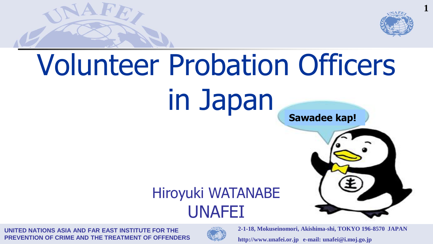

# Volunteer Probation Officers in Japan





#### Hiroyuki WATANABE UNAFEI

**UNITED NATIONS ASIA AND FAR EAST INSTITUTE FOR THE PREVENTION OF CRIME AND THE TREATMENT OF OFFENDERS**

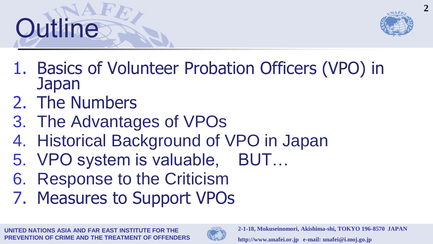



- 1. Basics of Volunteer Probation Officers (VPO) in Japan
- 2. The Numbers
- 3. The Advantages of VPOs
- 4. Historical Background of VPO in Japan
- 5. VPO system is valuable, BUT…
- 6. Response to the Criticism
- 7. Measures to Support VPOs

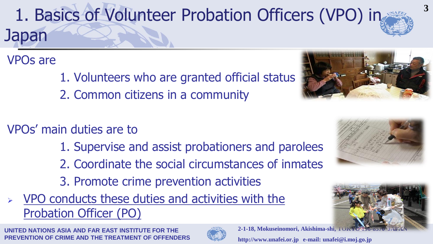1. Basics of Volunteer Probation Officers (VPO) in Japan

VPOs are

1. Volunteers who are granted official status

- 2. Common citizens in a community
- VPOs' main duties are to
	- 1. Supervise and assist probationers and parolees
	- 2. Coordinate the social circumstances of inmates
	- 3. Promote crime prevention activities
- VPO conducts these duties and activities with the Probation Officer (PO)









**3**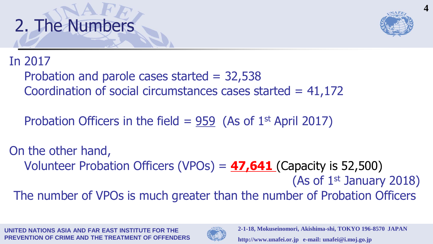



#### In 2017

Probation and parole cases started  $= 32,538$ Coordination of social circumstances cases started  $= 41,172$ 

Probation Officers in the field =  $959$  (As of 1<sup>st</sup> April 2017)

On the other hand, Volunteer Probation Officers (VPOs) = **47,641** (Capacity is 52,500) (As of 1st January 2018) The number of VPOs is much greater than the number of Probation Officers

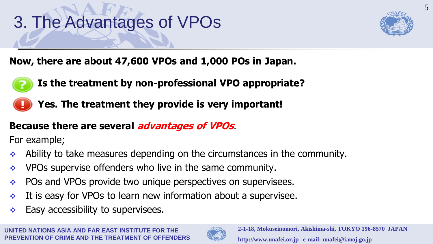## 3. The Advantages of VPOs



**Now, there are about 47,600 VPOs and 1,000 POs in Japan.**



- **Is the treatment by non-professional VPO appropriate?**
- **Yes. The treatment they provide is very important!**

#### **Because there are several advantages of VPOs**.

For example;

- Ability to take measures depending on the circumstances in the community.
- $\cdot$  VPOs supervise offenders who live in the same community.
- \* POs and VPOs provide two unique perspectives on supervisees.
- It is easy for VPOs to learn new information about a supervisee.
- $\div$  Easy accessibility to supervisees.

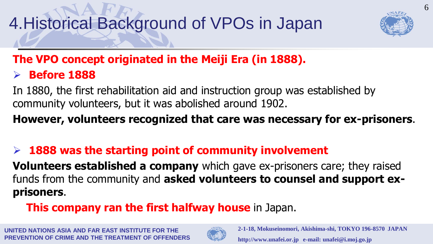

#### **The VPO concept originated in the Meiji Era (in 1888).**

**Before 1888**

In 1880, the first rehabilitation aid and instruction group was established by community volunteers, but it was abolished around 1902.

**However, volunteers recognized that care was necessary for ex-prisoners**.

#### **1888 was the starting point of community involvement**

**Volunteers established a company** which gave ex-prisoners care; they raised funds from the community and **asked volunteers to counsel and support exprisoners**.

#### **This company ran the first halfway house** in Japan.

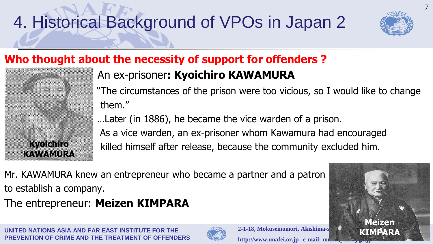

**Meizen KIMPARA** 7

#### **Who thought about the necessity of support for offenders ?**



#### An ex-prisoner**: Kyoichiro KAWAMURA**

"The circumstances of the prison were too vicious, so I would like to change them."

…Later (in 1886), he became the vice warden of a prison. As a vice warden, an ex-prisoner whom Kawamura had encouraged killed himself after release, because the community excluded him.

Mr. KAWAMURA knew an entrepreneur who became a partner and a patron to establish a company.

The entrepreneur: **Meizen KIMPARA**

**UNITED NATIONS ASIA AND FAR EAST INSTITUTE FOR THE PREVENTION OF CRIME AND THE TREATMENT OF OFFENDERS**



**2-1-18, Mokuseinomori, Akishima-s** http://www.unafei.or.jp e-mail: un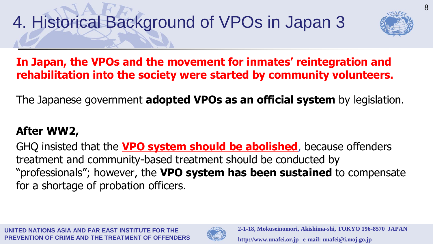

#### **In Japan, the VPOs and the movement for inmates' reintegration and rehabilitation into the society were started by community volunteers.**

The Japanese government **adopted VPOs as an official system** by legislation.

#### **After WW2,**

GHQ insisted that the **VPO system should be abolished**, because offenders treatment and community-based treatment should be conducted by "professionals"; however, the **VPO system has been sustained** to compensate for a shortage of probation officers.

**FD NATIONS ASIA AND FAR FAST INSTITUTE FOR THE PREVENTION OF CRIME AND THE TREATMENT OF OFFENDERS**

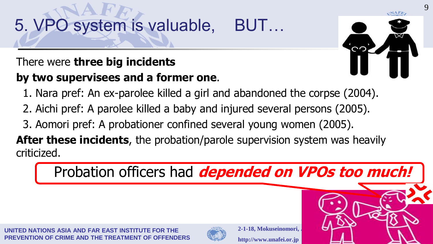## 5. VPO system is valuable, BUT…

#### There were **three big incidents by two supervisees and a former one**.



- 1. Nara pref: An ex-parolee killed a girl and abandoned the corpse (2004).
- 2. Aichi pref: A parolee killed a baby and injured several persons (2005).
- 3. Aomori pref: A probationer confined several young women (2005).

**After these incidents**, the probation/parole supervision system was heavily criticized.

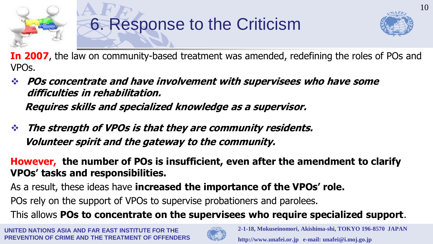

### 6. Response to the Criticism



10

**In 2007**, the law on community-based treatment was amended, redefining the roles of POs and VPOs.

- **POs concentrate and have involvement with supervisees who have some difficulties in rehabilitation. Requires skills and specialized knowledge as a supervisor.**
- **The strength of VPOs is that they are community residents. Volunteer spirit and the gateway to the community.**

**However, the number of POs is insufficient, even after the amendment to clarify VPOs' tasks and responsibilities.**

As a result, these ideas have **increased the importance of the VPOs' role.** POs rely on the support of VPOs to supervise probationers and parolees.

This allows **POs to concentrate on the supervisees who require specialized support**.

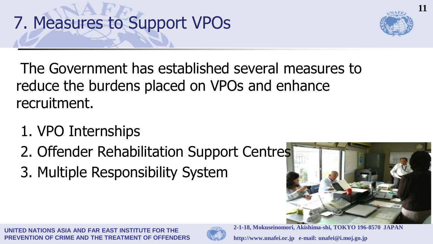



The Government has established several measures to reduce the burdens placed on VPOs and enhance recruitment.

- 1. VPO Internships
- 2. Offender Rehabilitation Support Centres
- 3. Multiple Responsibility System



**FD NATIONS ASIA AND FAR FAST INSTITUTE FOR THE PREVENTION OF CRIME AND THE TREATMENT OF OFFENDERS**

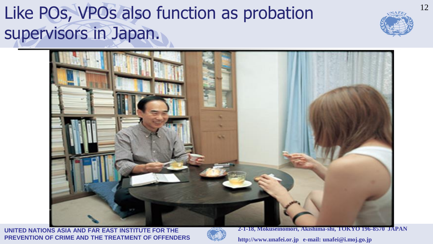### Like POs, VPOs also function as probation supervisors in Japan.





**UNITED NATIONS ASIA AND FAR EAST INSTITUTE FOR THE PREVENTION OF CRIME AND THE TREATMENT OF OFFENDERS**